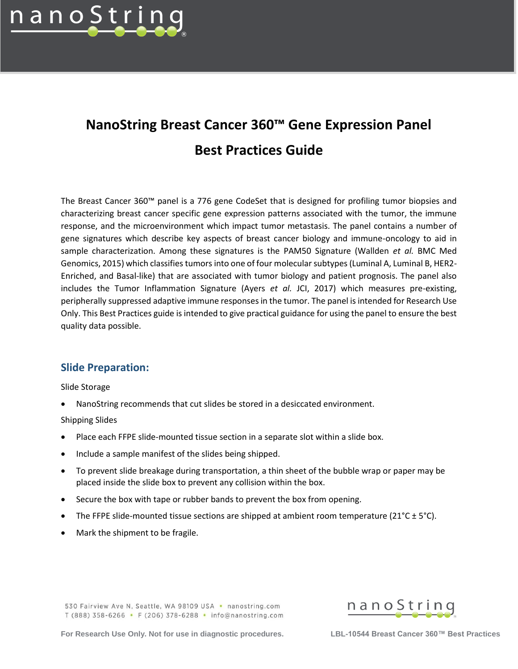

# **NanoString Breast Cancer 360™ Gene Expression Panel Best Practices Guide**

The Breast Cancer 360™ panel is a 776 gene CodeSet that is designed for profiling tumor biopsies and characterizing breast cancer specific gene expression patterns associated with the tumor, the immune response, and the microenvironment which impact tumor metastasis. The panel contains a number of gene signatures which describe key aspects of breast cancer biology and immune-oncology to aid in sample characterization. Among these signatures is the PAM50 Signature (Wallden *et al.* BMC Med Genomics, 2015) which classifies tumors into one of four molecular subtypes (Luminal A, Luminal B, HER2- Enriched, and Basal-like) that are associated with tumor biology and patient prognosis. The panel also includes the Tumor Inflammation Signature (Ayers *et al.* JCI, 2017) which measures pre-existing, peripherally suppressed adaptive immune responses in the tumor. The panel is intended for Research Use Only. This Best Practices guide is intended to give practical guidance for using the panel to ensure the best quality data possible.

## **Slide Preparation:**

Slide Storage

• NanoString recommends that cut slides be stored in a desiccated environment.

Shipping Slides

- Place each FFPE slide-mounted tissue section in a separate slot within a slide box.
- Include a sample manifest of the slides being shipped.
- To prevent slide breakage during transportation, a thin sheet of the bubble wrap or paper may be placed inside the slide box to prevent any collision within the box.
- Secure the box with tape or rubber bands to prevent the box from opening.
- The FFPE slide-mounted tissue sections are shipped at ambient room temperature ( $21^{\circ}C \pm 5^{\circ}C$ ).
- Mark the shipment to be fragile.

530 Fairview Ave N, Seattle, WA 98109 USA • nanostring.com T (888) 358-6266 • F (206) 378-6288 • info@nanostring.com

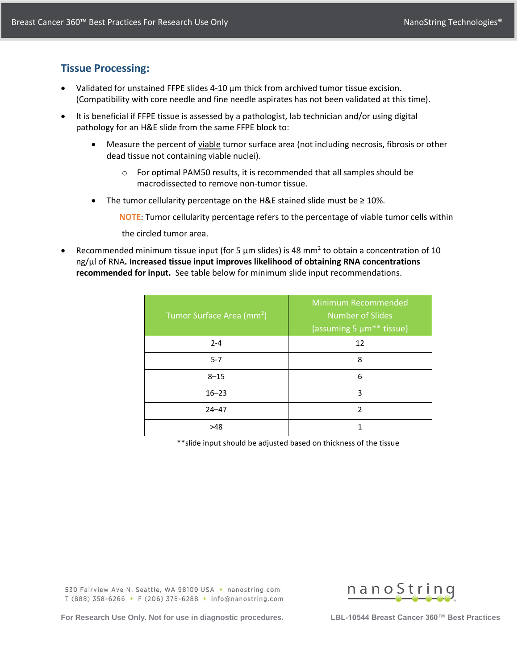## **Tissue Processing:**

- Validated for unstained FFPE slides 4-10  $\mu$ m thick from archived tumor tissue excision. (Compatibility with core needle and fine needle aspirates has not been validated at this time).
- It is beneficial if FFPE tissue is assessed by a pathologist, lab technician and/or using digital pathology for an H&E slide from the same FFPE block to:
	- Measure the percent of viable tumor surface area (not including necrosis, fibrosis or other dead tissue not containing viable nuclei).
		- o For optimal PAM50 results, it is recommended that all samples should be macrodissected to remove non-tumor tissue.
	- The tumor cellularity percentage on the H&E stained slide must be ≥ 10%.

**NOTE**: Tumor cellularity percentage refers to the percentage of viable tumor cells within

the circled tumor area.

• Recommended minimum tissue input (for 5  $\mu$ m slides) is 48 mm<sup>2</sup> to obtain a concentration of 10 ng/μl of RNA**. Increased tissue input improves likelihood of obtaining RNA concentrations recommended for input.** See table below for minimum slide input recommendations.

| Tumor Surface Area (mm <sup>2</sup> ) | <b>Minimum Recommended</b><br><b>Number of Slides</b><br>(assuming 5 µm <sup>**</sup> tissue) |
|---------------------------------------|-----------------------------------------------------------------------------------------------|
| $2 - 4$                               | 12                                                                                            |
| $5 - 7$                               | 8                                                                                             |
| $8 - 15$                              | 6                                                                                             |
| $16 - 23$                             | 3                                                                                             |
| $24 - 47$                             | $\mathfrak{p}$                                                                                |
| >48                                   |                                                                                               |

\*\*slide input should be adjusted based on thickness of the tissue

530 Fairview Ave N, Seattle, WA 98109 USA • nanostring.com T (888) 358-6266 • F (206) 378-6288 • info@nanostring.com

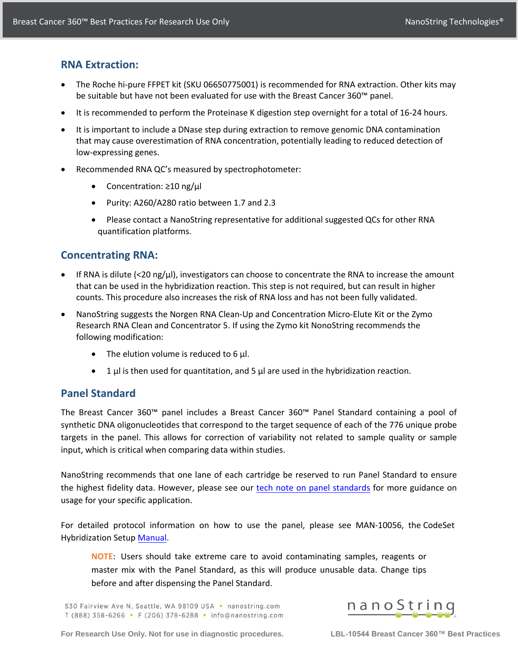## **RNA Extraction:**

- The Roche hi-pure FFPET kit (SKU 06650775001) is recommended for RNA extraction. Other kits may be suitable but have not been evaluated for use with the Breast Cancer 360™ panel.
- It is recommended to perform the Proteinase K digestion step overnight for a total of 16-24 hours.
- It is important to include a DNase step during extraction to remove genomic DNA contamination that may cause overestimation of RNA concentration, potentially leading to reduced detection of low-expressing genes.
- Recommended RNA QC's measured by spectrophotometer:
	- Concentration: ≥10 ng/μl
	- Purity: A260/A280 ratio between 1.7 and 2.3
	- Please contact a NanoString representative for additional suggested QCs for other RNA quantification platforms.

## **Concentrating RNA:**

- If RNA is dilute (<20 ng/µl), investigators can choose to concentrate the RNA to increase the amount that can be used in the hybridization reaction. This step is not required, but can result in higher counts. This procedure also increases the risk of RNA loss and has not been fully validated.
- NanoString suggests the Norgen RNA Clean-Up and Concentration Micro-Elute Kit or the Zymo Research RNA Clean and Concentrator 5. If using the Zymo kit NonoString recommends the following modification:
	- The elution volume is reduced to 6 µl.
	- 1  $\mu$  is then used for quantitation, and 5  $\mu$  are used in the hybridization reaction.

# **Panel Standard**

The Breast Cancer 360™ panel includes a Breast Cancer 360™ Panel Standard containing a pool of synthetic DNA oligonucleotides that correspond to the target sequence of each of the 776 unique probe targets in the panel. This allows for correction of variability not related to sample quality or sample input, which is critical when comparing data within studies.

NanoString recommends that one lane of each cartridge be reserved to run Panel Standard to ensure the highest fidelity data. However, please see our [tech note on panel standards](https://www.nanostring.com/support-documents/panel-standard-and-calibration-sample-usage/) for more guidance on usage for your specific application.

For detailed protocol information on how to use the panel, please see MAN-10056, the CodeSet Hybridization Setup [Manual](https://www.nanostring.com/wp-content/uploads/2021/03/MAN-10056-05-Gene-Expression-Hybridization-Protocol.pdf).

**NOTE**: Users should take extreme care to avoid contaminating samples, reagents or master mix with the Panel Standard, as this will produce unusable data. Change tips before and after dispensing the Panel Standard.

530 Fairview Ave N, Seattle, WA 98109 USA • nanostring.com T (888) 358-6266 • F (206) 378-6288 • info@nanostring.com